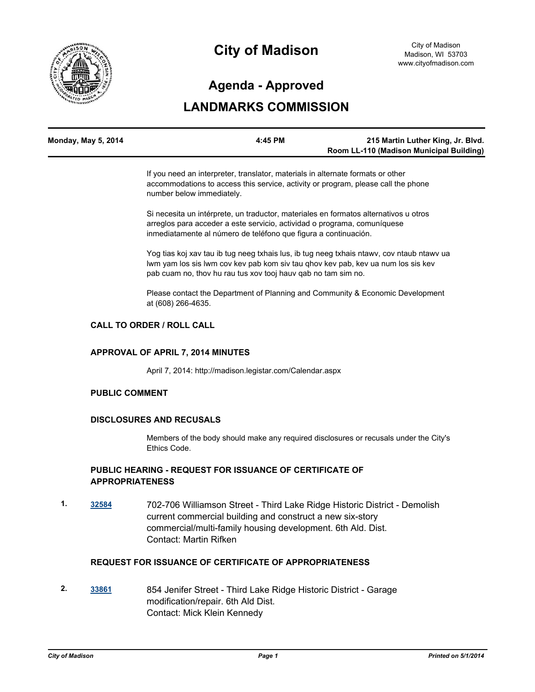

# **City of Madison**

# **Agenda - Approved**

# **LANDMARKS COMMISSION**

| Monday, May 5, 2014 | 4:45 PM | 215 Martin Luther King, Jr. Blvd.        |
|---------------------|---------|------------------------------------------|
|                     |         | Room LL-110 (Madison Municipal Building) |

If you need an interpreter, translator, materials in alternate formats or other accommodations to access this service, activity or program, please call the phone number below immediately.

Si necesita un intérprete, un traductor, materiales en formatos alternativos u otros arreglos para acceder a este servicio, actividad o programa, comuníquese inmediatamente al número de teléfono que figura a continuación.

Yog tias koj xav tau ib tug neeg txhais lus, ib tug neeg txhais ntawv, cov ntaub ntawv ua lwm yam los sis lwm cov kev pab kom siv tau qhov kev pab, kev ua num los sis kev pab cuam no, thov hu rau tus xov tooj hauv qab no tam sim no.

Please contact the Department of Planning and Community & Economic Development at (608) 266-4635.

#### **CALL TO ORDER / ROLL CALL**

#### **APPROVAL OF APRIL 7, 2014 MINUTES**

April 7, 2014: http://madison.legistar.com/Calendar.aspx

#### **PUBLIC COMMENT**

#### **DISCLOSURES AND RECUSALS**

Members of the body should make any required disclosures or recusals under the City's Ethics Code.

### **PUBLIC HEARING - REQUEST FOR ISSUANCE OF CERTIFICATE OF APPROPRIATENESS**

**1. [32584](http://madison.legistar.com/gateway.aspx?m=l&id=/matter.aspx?key=35610)** 702-706 Williamson Street - Third Lake Ridge Historic District - Demolish current commercial building and construct a new six-story commercial/multi-family housing development. 6th Ald. Dist. Contact: Martin Rifken

### **REQUEST FOR ISSUANCE OF CERTIFICATE OF APPROPRIATENESS**

**2. [33861](http://madison.legistar.com/gateway.aspx?m=l&id=/matter.aspx?key=36956)** 854 Jenifer Street - Third Lake Ridge Historic District - Garage modification/repair. 6th Ald Dist. Contact: Mick Klein Kennedy